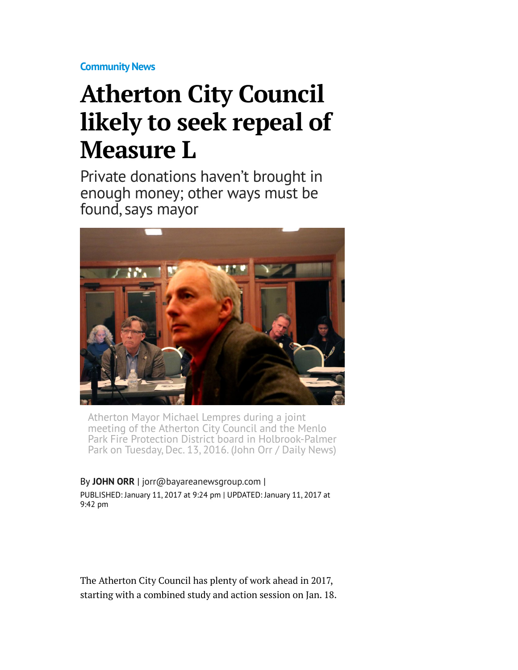**[Community News](http://www.mercurynews.com/community-news/)**

## **Atherton City Council likely to seek repeal of Measure L**

Private donations haven't brought in enough money; other ways must be found, says mayor



Atherton Mayor Michael Lempres during a joint meeting of the Atherton City Council and the Menlo Park Fire Protection District board in Holbrook-Palmer Park on Tuesday, Dec. 13, 2016. (John Orr / Daily News)

By **[JOHN ORR](http://www.mercurynews.com/author/john-orr/)** | [jorr@bayareanewsgroup.com](mailto:jorr@bayareanewsgroup.com) | PUBLISHED: January 11, 2017 at 9:24 pm | UPDATED: January 11, 2017 at 9:42 pm

The Atherton City Council has plenty of work ahead in 2017, starting with a combined study and action session on Jan. 18.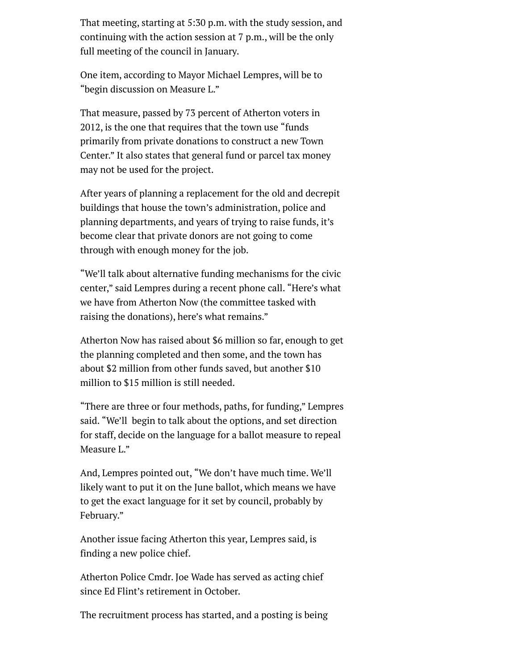That meeting, starting at 5:30 p.m. with the study session, and continuing with the action session at 7 p.m., will be the only full meeting of the council in January.

One item, according to Mayor Michael Lempres, will be to "begin discussion on Measure L."

That measure, passed by 73 percent of Atherton voters in 2012, is the one that requires that the town use "funds primarily from private donations to construct a new Town Center." It also states that general fund or parcel tax money may not be used for the project.

After years of planning a replacement for the old and decrepit buildings that house the town's administration, police and planning departments, and years of trying to raise funds, it's become clear that private donors are not going to come through with enough money for the job.

"We'll talk about alternative funding mechanisms for the civic center," said Lempres during a recent phone call. "Here's what we have from Atherton Now (the committee tasked with raising the donations), here's what remains."

Atherton Now has raised about \$6 million so far, enough to get the planning completed and then some, and the town has about \$2 million from other funds saved, but another \$10 million to \$15 million is still needed.

"There are three or four methods, paths, for funding," Lempres said. "We'll begin to talk about the options, and set direction for staff, decide on the language for a ballot measure to repeal Measure L."

And, Lempres pointed out, "We don't have much time. We'll likely want to put it on the June ballot, which means we have to get the exact language for it set by council, probably by February."

Another issue facing Atherton this year, Lempres said, is finding a new police chief.

Atherton Police Cmdr. Joe Wade has served as acting chief since Ed Flint's retirement in October.

The recruitment process has started, and a posting is being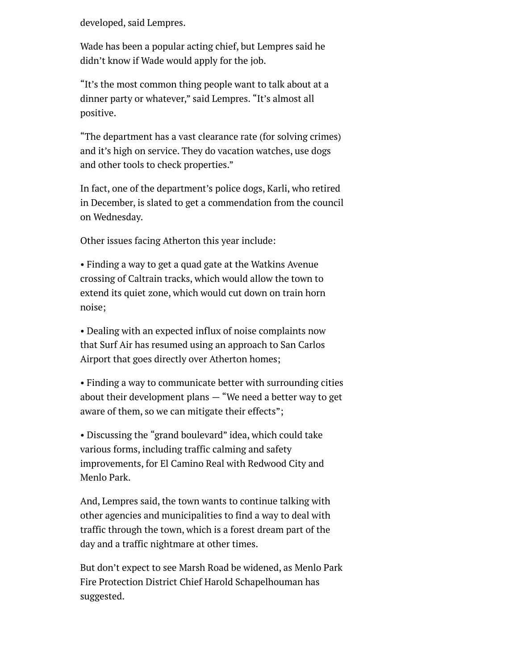developed, said Lempres.

Wade has been a popular acting chief, but Lempres said he didn't know if Wade would apply for the job.

"It's the most common thing people want to talk about at a dinner party or whatever," said Lempres. "It's almost all positive.

"The department has a vast clearance rate (for solving crimes) and it's high on service. They do vacation watches, use dogs and other tools to check properties."

In fact, one of the department's police dogs, Karli, who retired in December, is slated to get a commendation from the council on Wednesday.

Other issues facing Atherton this year include:

• Finding a way to get a quad gate at the Watkins Avenue crossing of Caltrain tracks, which would allow the town to extend its quiet zone, which would cut down on train horn noise;

• Dealing with an expected influx of noise complaints now that Surf Air has resumed using an approach to San Carlos Airport that goes directly over Atherton homes;

• Finding a way to communicate better with surrounding cities about their development plans  $-$  "We need a better way to get aware of them, so we can mitigate their effects";

• Discussing the "grand boulevard" idea, which could take various forms, including traffic calming and safety improvements, for El Camino Real with Redwood City and Menlo Park.

And, Lempres said, the town wants to continue talking with other agencies and municipalities to find a way to deal with traffic through the town, which is a forest dream part of the day and a traffic nightmare at other times.

But don't expect to see Marsh Road be widened, as Menlo Park Fire Protection District Chief Harold Schapelhouman has suggested.